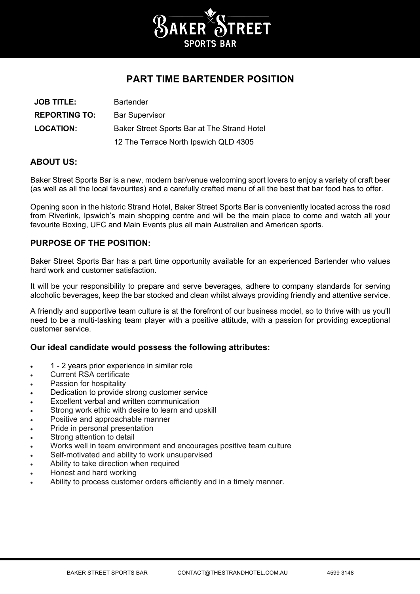

# **PART TIME BARTENDER POSITION**

| <b>JOB TITLE:</b>    | <b>Bartender</b>                            |
|----------------------|---------------------------------------------|
| <b>REPORTING TO:</b> | <b>Bar Supervisor</b>                       |
| <b>LOCATION:</b>     | Baker Street Sports Bar at The Strand Hotel |
|                      | 12 The Terrace North Ipswich QLD 4305       |

## **ABOUT US:**

Baker Street Sports Bar is a new, modern bar/venue welcoming sport lovers to enjoy a variety of craft beer (as well as all the local favourites) and a carefully crafted menu of all the best that bar food has to offer.

Opening soon in the historic Strand Hotel, Baker Street Sports Bar is conveniently located across the road from Riverlink, Ipswich's main shopping centre and will be the main place to come and watch all your favourite Boxing, UFC and Main Events plus all main Australian and American sports.

### **PURPOSE OF THE POSITION:**

Baker Street Sports Bar has a part time opportunity available for an experienced Bartender who values hard work and customer satisfaction.

It will be your responsibility to prepare and serve beverages, adhere to company standards for serving alcoholic beverages, keep the bar stocked and clean whilst always providing friendly and attentive service.

A friendly and supportive team culture is at the forefront of our business model, so to thrive with us you'll need to be a multi-tasking team player with a positive attitude, with a passion for providing exceptional customer service.

### **Our ideal candidate would possess the following attributes:**

- 1 2 years prior experience in similar role
- Current RSA certificate
- Passion for hospitality
- Dedication to provide strong customer service
- Excellent verbal and written communication
- Strong work ethic with desire to learn and upskill
- Positive and approachable manner
- Pride in personal presentation
- Strong attention to detail
- Works well in team environment and encourages positive team culture
- Self-motivated and ability to work unsupervised
- Ability to take direction when required
- Honest and hard working
- Ability to process customer orders efficiently and in a timely manner.